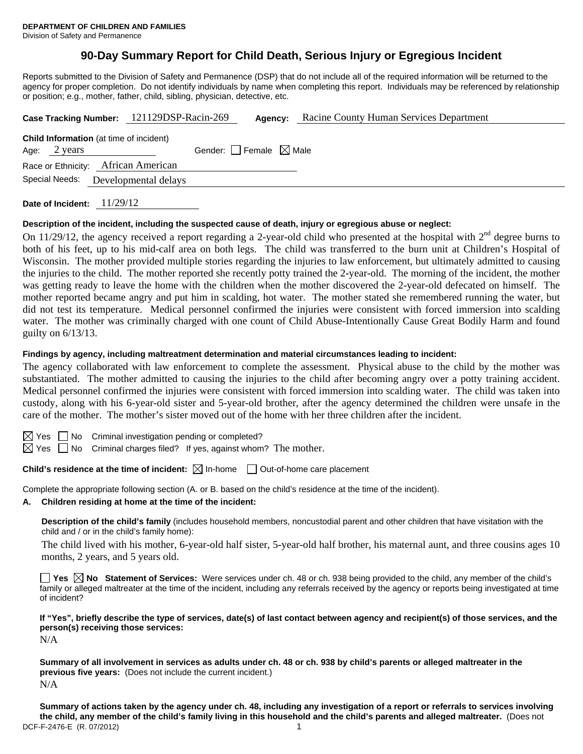# **90-Day Summary Report for Child Death, Serious Injury or Egregious Incident**

Reports submitted to the Division of Safety and Permanence (DSP) that do not include all of the required information will be returned to the agency for proper completion. Do not identify individuals by name when completing this report. Individuals may be referenced by relationship or position; e.g., mother, father, child, sibling, physician, detective, etc.

| Case Tracking Number: 121129DSP-Racin-269                                |                                 | Agency: | Racine County Human Services Department |
|--------------------------------------------------------------------------|---------------------------------|---------|-----------------------------------------|
| <b>Child Information</b> (at time of incident)<br>Age: $2 \text{ years}$ | Gender: Female $\boxtimes$ Male |         |                                         |
| Race or Ethnicity: African American<br>Special Needs:                    | Developmental delays            |         |                                         |
|                                                                          |                                 |         |                                         |

**Date of Incident:** 11/29/12

#### **Description of the incident, including the suspected cause of death, injury or egregious abuse or neglect:**

On  $11/29/12$ , the agency received a report regarding a 2-year-old child who presented at the hospital with  $2<sup>nd</sup>$  degree burns to both of his feet, up to his mid-calf area on both legs. The child was transferred to the burn unit at Children's Hospital of Wisconsin. The mother provided multiple stories regarding the injuries to law enforcement, but ultimately admitted to causing the injuries to the child. The mother reported she recently potty trained the 2-year-old. The morning of the incident, the mother was getting ready to leave the home with the children when the mother discovered the 2-year-old defecated on himself. The mother reported became angry and put him in scalding, hot water. The mother stated she remembered running the water, but did not test its temperature. Medical personnel confirmed the injuries were consistent with forced immersion into scalding water. The mother was criminally charged with one count of Child Abuse-Intentionally Cause Great Bodily Harm and found guilty on 6/13/13.

#### **Findings by agency, including maltreatment determination and material circumstances leading to incident:**

The agency collaborated with law enforcement to complete the assessment. Physical abuse to the child by the mother was substantiated. The mother admitted to causing the injuries to the child after becoming angry over a potty training accident. Medical personnel confirmed the injuries were consistent with forced immersion into scalding water. The child was taken into custody, along with his 6-year-old sister and 5-year-old brother, after the agency determined the children were unsafe in the care of the mother. The mother's sister moved out of the home with her three children after the incident.

 $S \cap M$ o Criminal investigation pending or completed?

 $\boxtimes$  Yes  $\Box$  No Criminal charges filed? If yes, against whom? The mother.

# **Child's residence at the time of incident:**  $\boxtimes$  In-home  $\Box$  Out-of-home care placement

Complete the appropriate following section (A. or B. based on the child's residence at the time of the incident).

**A. Children residing at home at the time of the incident:**

**Description of the child's family** (includes household members, noncustodial parent and other children that have visitation with the child and / or in the child's family home):

 The child lived with his mother, 6-year-old half sister, 5-year-old half brother, his maternal aunt, and three cousins ages 10 months, 2 years, and 5 years old.

**Yes No Statement of Services:** Were services under ch. 48 or ch. 938 being provided to the child, any member of the child's family or alleged maltreater at the time of the incident, including any referrals received by the agency or reports being investigated at time of incident?

**If "Yes", briefly describe the type of services, date(s) of last contact between agency and recipient(s) of those services, and the person(s) receiving those services:** 

N/A

**Summary of all involvement in services as adults under ch. 48 or ch. 938 by child's parents or alleged maltreater in the previous five years:** (Does not include the current incident.) N/A

DCF-F-2476-E (R. 07/2012) 1 **Summary of actions taken by the agency under ch. 48, including any investigation of a report or referrals to services involving the child, any member of the child's family living in this household and the child's parents and alleged maltreater.** (Does not